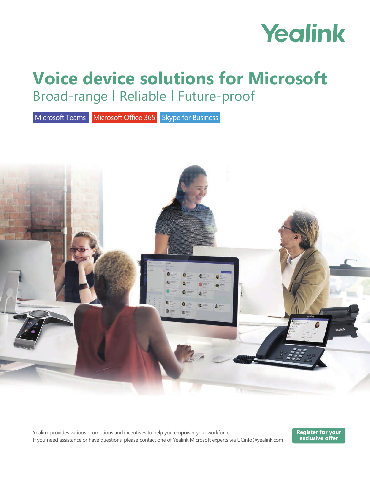# Yealink

# **Voice device solutions for Microsoft**

Broad-range | Reliable | Future-proof

Microsoft Teams Microsoft Office 365 Skype for Business



Yealink provides various promotions and incentives to help you empower your workforce If you need assistance or have questions, please contact one of Yealink Microsoft experts via UCinfo@yealink.com **Register for your exclusive offer**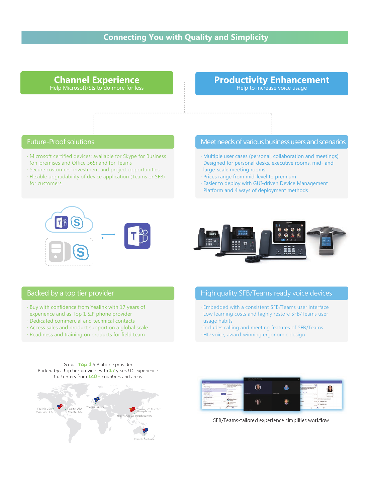# **Connecting You with Quality and Simplicity**

# **Channel Experience**

Help Microsoft/SIs to do more for less

# **Productivity Enhancement**

Help to increase voice usage

# Future-Proof solutions

- Microsoft certified devices; available for Skype for Business · (on-premises and Office 365) and for Teams
- Secure customers' investment and project opportunities ·
- Flexible upgradability of device application (Teams or SFB) · for customers

#### Meet needs of various business users and scenarios

- Multiple user cases (personal, collaboration and meetings) ·
- Designed for personal desks, executive rooms, mid- and · large-scale meeting rooms
- Prices range from mid-level to premium ·
- Easier to deploy with GUI-driven Device Management · Platform and 4 ways of deployment methods





### Backed by a top tier provider

- Buy with confidence from Yealink with 17 years of · experience and as Top 1 SIP phone provider
- Dedicated commercial and technical contacts ·
- Access sales and product support on a global scale ·
- Readiness and training on products for field team ·

## High quality SFB/Teams ready voice devices

- Embedded with a consistent SFB/Teams user interface ·
- Low learning costs and highly restore SFB/Teams user · usage habits
- · Includes calling and meeting features of SFB/Teams HD voice, award-winning ergonomic design ·



Global **Top 1** SIP phone provider Backed by a top tier provider with **17** years UC experience

Yealink Australia



SFB/Teams-tailored experience simplifies workflow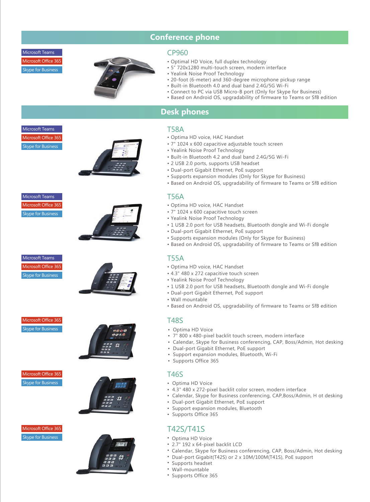# **Conference phone**

Microsoft Teams crosoft Office 3 oe for Busine



#### CP960

- Optimal HD Voice, full duplex technology
- 5" 720x1280 multi-touch screen, modern interface
- Yealink Noise Proof Technology
- 20-foot (6-meter) and 360-degree microphone pickup range
- Built-in Bluetooth 4.0 and dual band 2.4G/5G Wi-Fi
- Connect to PC via USB Micro-B port (Only for Skype for Business)
- Based on Android OS, upgradability of firmware to Teams or SfB edition

## **Desk phones**

Microsoft Teams T58A Microsoft Office 365 kype for Business



Microsoft Teams rosoft Office 36 for Busine



Microsoft Teams licrosoft Office 365 Skype for Business



Microsoft Office 365 **Skype f<u>or</u> Business** 



licrosoft Office 365 **Skype for Business** 







- Optima HD voice, HAC Handset
- 7" 1024 x 600 capacitive adjustable touch screen
- Yealink Noise Proof Technology
- Built-in Bluetooth 4.2 and dual band 2.4G/5G Wi-Fi
- 2 USB 2.0 ports, supports USB headset
- Dual-port Gigabit Ethernet, PoE support
- Supports expansion modules (Only for Skype for Business)
- Based on Android OS, upgradability of firmware to Teams or SfB edition

#### T56A

- Optima HD voice, HAC Handset
- 7" 1024 x 600 capacitive touch screen
- Yealink Noise Proof Technology
- 1 USB 2.0 port for USB headsets, Bluetooth dongle and Wi-Fi dongle
- Dual-port Gigabit Ethernet, PoE support
- Supports expansion modules (Only for Skype for Business)
- Based on Android OS, upgradability of firmware to Teams or SfB edition

#### T55A

- Optima HD voice, HAC Handset
- 4.3" 480 x 272 capacitive touch screen
- Yealink Noise Proof Technology
- 1 USB 2.0 port for USB headsets, Bluetooth dongle and Wi-Fi dongle
- Dual-port Gigabit Ethernet, PoE support
- Wall mountable
- Based on Android OS, upgradability of firmware to Teams or SfB edition

#### T48S

- Optima HD Voice
- 7" 800 x 480-pixel backlit touch screen, modern interface
- Calendar, Skype for Business conferencing, CAP, Boss/Admin, Hot desking
- Dual-port Gigabit Ethernet, PoE support
- Support expansion modules, Bluetooth, Wi-Fi
- Supports Office 365

#### T46S

- Optima HD Voice
- 4.3" 480 x 272-pixel backlit color screen, modern interface
- Calendar, Skype for Business conferencing, CAP,Boss/Admin, H ot desking
- Dual-port Gigabit Ethernet, PoE support
- Support expansion modules, Bluetooth
- Supports Office 365

#### T42S/T41S

- Optima HD Voice
- 2.7" 192 x 64-pixel backlit LCD
- Calendar, Skype for Business conferencing, CAP, Boss/Admin, Hot desking
- Dual-port Gigabit(T42S) or 2 x 10M/100M(T41S), PoE support
- Supports headset
- Wall-mountable
- Supports Office 365